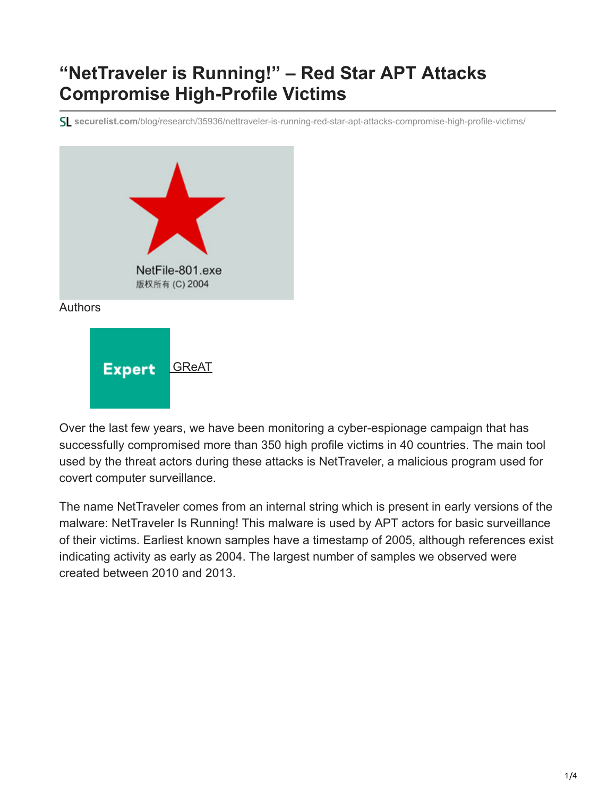## **"NetTraveler is Running!" – Red Star APT Attacks Compromise High-Profile Victims**

**securelist.com**[/blog/research/35936/nettraveler-is-running-red-star-apt-attacks-compromise-high-profile-victims/](https://securelist.com/blog/research/35936/nettraveler-is-running-red-star-apt-attacks-compromise-high-profile-victims/)



Over the last few years, we have been monitoring a cyber-espionage campaign that has successfully compromised more than 350 high profile victims in 40 countries. The main tool used by the threat actors during these attacks is NetTraveler, a malicious program used for covert computer surveillance.

The name NetTraveler comes from an internal string which is present in early versions of the malware: NetTraveler Is Running! This malware is used by APT actors for basic surveillance of their victims. Earliest known samples have a timestamp of 2005, although references exist indicating activity as early as 2004. The largest number of samples we observed were created between 2010 and 2013.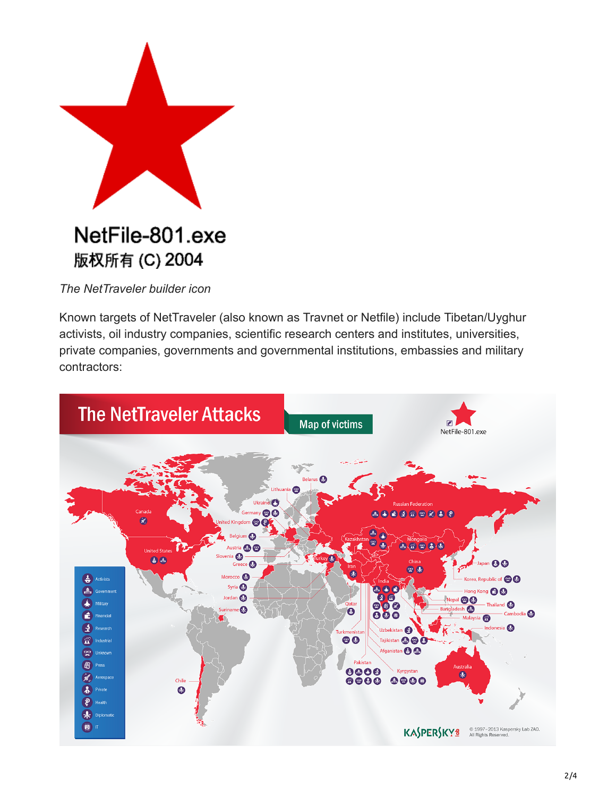

*The NetTraveler builder icon*

Known targets of NetTraveler (also known as Travnet or Netfile) include Tibetan/Uyghur activists, oil industry companies, scientific research centers and institutes, universities, private companies, governments and governmental institutions, embassies and military contractors:

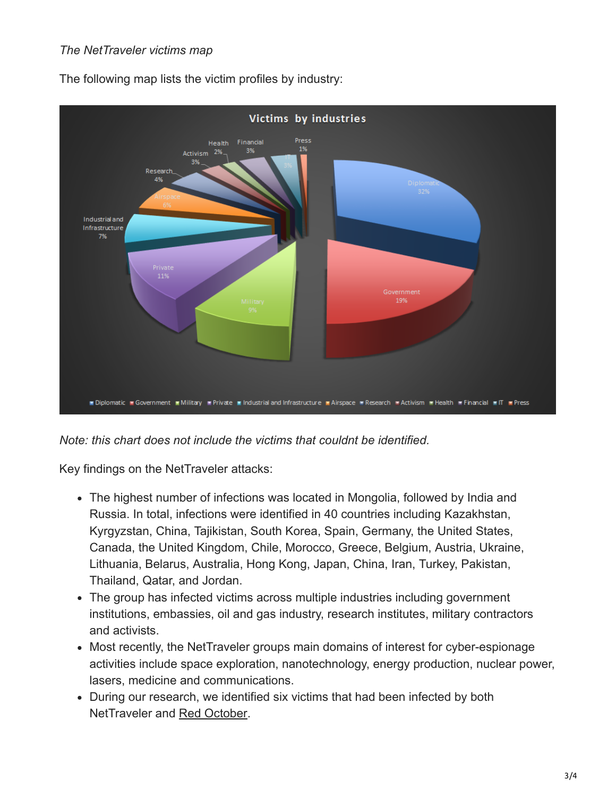## *The NetTraveler victims map*



The following map lists the victim profiles by industry:

*Note: this chart does not include the victims that couldnt be identified.*

Key findings on the NetTraveler attacks:

- The highest number of infections was located in Mongolia, followed by India and Russia. In total, infections were identified in 40 countries including Kazakhstan, Kyrgyzstan, China, Tajikistan, South Korea, Spain, Germany, the United States, Canada, the United Kingdom, Chile, Morocco, Greece, Belgium, Austria, Ukraine, Lithuania, Belarus, Australia, Hong Kong, Japan, China, Iran, Turkey, Pakistan, Thailand, Qatar, and Jordan.
- The group has infected victims across multiple industries including government institutions, embassies, oil and gas industry, research institutes, military contractors and activists.
- Most recently, the NetTraveler groups main domains of interest for cyber-espionage activities include space exploration, nanotechnology, energy production, nuclear power, lasers, medicine and communications.
- During our research, we identified six victims that had been infected by both NetTraveler and [Red October.](https://securelist.com/the-red-october-campaign/57647/)